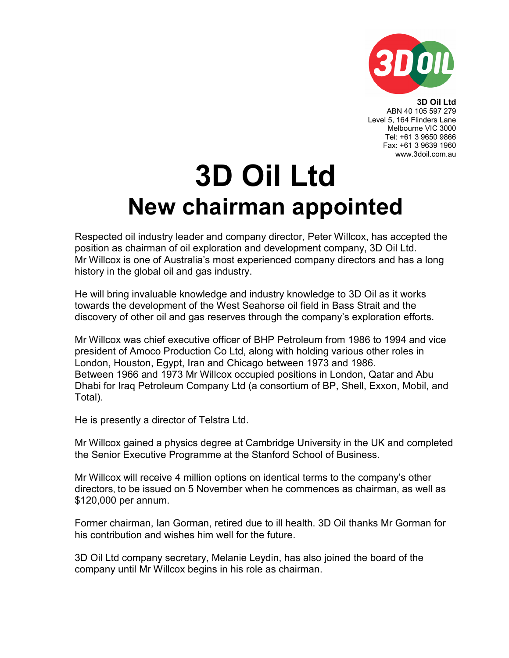

3D Oil Ltd ABN 40 105 597 279 Level 5, 164 Flinders Lane Melbourne VIC 3000 Tel: +61 3 9650 9866

> Fax: +61 3 9639 1960 www.3doil.com.au

## 3D Oil Ltd New chairman appointed

Respected oil industry leader and company director, Peter Willcox, has accepted the position as chairman of oil exploration and development company, 3D Oil Ltd. Mr Willcox is one of Australia's most experienced company directors and has a long history in the global oil and gas industry.

He will bring invaluable knowledge and industry knowledge to 3D Oil as it works towards the development of the West Seahorse oil field in Bass Strait and the discovery of other oil and gas reserves through the company's exploration efforts.

Mr Willcox was chief executive officer of BHP Petroleum from 1986 to 1994 and vice president of Amoco Production Co Ltd, along with holding various other roles in London, Houston, Egypt, Iran and Chicago between 1973 and 1986. Between 1966 and 1973 Mr Willcox occupied positions in London, Qatar and Abu Dhabi for Iraq Petroleum Company Ltd (a consortium of BP, Shell, Exxon, Mobil, and Total).

He is presently a director of Telstra Ltd.

Mr Willcox gained a physics degree at Cambridge University in the UK and completed the Senior Executive Programme at the Stanford School of Business.

Mr Willcox will receive 4 million options on identical terms to the company's other directors, to be issued on 5 November when he commences as chairman, as well as \$120,000 per annum.

Former chairman, Ian Gorman, retired due to ill health. 3D Oil thanks Mr Gorman for his contribution and wishes him well for the future.

3D Oil Ltd company secretary, Melanie Leydin, has also joined the board of the company until Mr Willcox begins in his role as chairman.